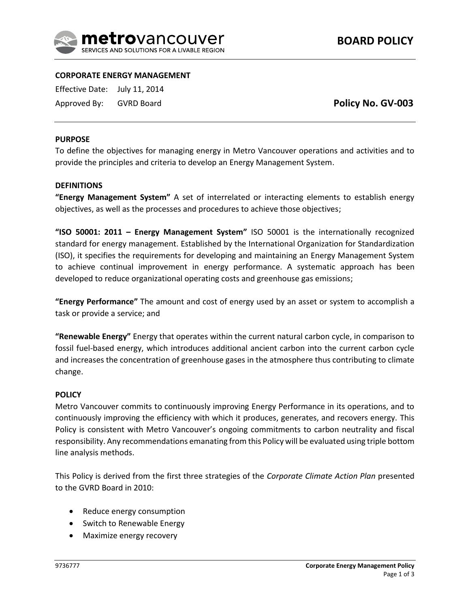

# **CORPORATE ENERGY MANAGEMENT**

Effective Date: July 11, 2014

Approved By: GVRD Board

**Policy No. GV-003**

## **PURPOSE**

To define the objectives for managing energy in Metro Vancouver operations and activities and to provide the principles and criteria to develop an Energy Management System.

### **DEFINITIONS**

**"Energy Management System"** A set of interrelated or interacting elements to establish energy objectives, as well as the processes and procedures to achieve those objectives;

**"ISO 50001: 2011 – Energy Management System"** ISO 50001 is the internationally recognized standard for energy management. Established by the International Organization for Standardization (ISO), it specifies the requirements for developing and maintaining an Energy Management System to achieve continual improvement in energy performance. A systematic approach has been developed to reduce organizational operating costs and greenhouse gas emissions;

**"Energy Performance"** The amount and cost of energy used by an asset or system to accomplish a task or provide a service; and

**"Renewable Energy"** Energy that operates within the current natural carbon cycle, in comparison to fossil fuel-based energy, which introduces additional ancient carbon into the current carbon cycle and increases the concentration of greenhouse gases in the atmosphere thus contributing to climate change.

#### **POLICY**

Metro Vancouver commits to continuously improving Energy Performance in its operations, and to continuously improving the efficiency with which it produces, generates, and recovers energy. This Policy is consistent with Metro Vancouver's ongoing commitments to carbon neutrality and fiscal responsibility. Any recommendations emanating from this Policy will be evaluated using triple bottom line analysis methods.

This Policy is derived from the first three strategies of the *Corporate Climate Action Plan* presented to the GVRD Board in 2010:

- Reduce energy consumption
- Switch to Renewable Energy
- Maximize energy recovery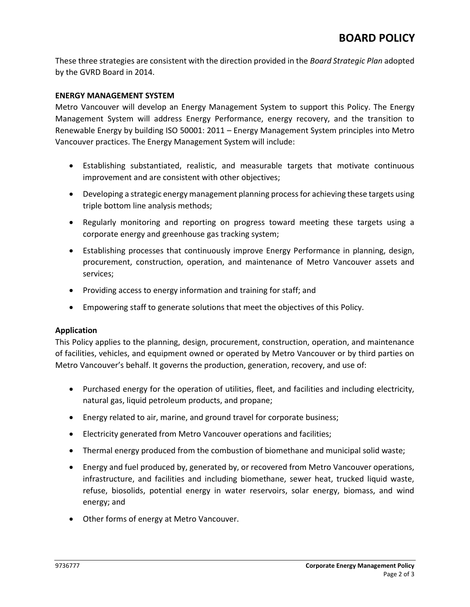These three strategies are consistent with the direction provided in the *Board Strategic Plan* adopted by the GVRD Board in 2014.

## **ENERGY MANAGEMENT SYSTEM**

Metro Vancouver will develop an Energy Management System to support this Policy. The Energy Management System will address Energy Performance, energy recovery, and the transition to Renewable Energy by building ISO 50001: 2011 – Energy Management System principles into Metro Vancouver practices. The Energy Management System will include:

- Establishing substantiated, realistic, and measurable targets that motivate continuous improvement and are consistent with other objectives;
- Developing a strategic energy management planning process for achieving these targets using triple bottom line analysis methods;
- Regularly monitoring and reporting on progress toward meeting these targets using a corporate energy and greenhouse gas tracking system;
- Establishing processes that continuously improve Energy Performance in planning, design, procurement, construction, operation, and maintenance of Metro Vancouver assets and services;
- Providing access to energy information and training for staff; and
- Empowering staff to generate solutions that meet the objectives of this Policy.

# **Application**

This Policy applies to the planning, design, procurement, construction, operation, and maintenance of facilities, vehicles, and equipment owned or operated by Metro Vancouver or by third parties on Metro Vancouver's behalf. It governs the production, generation, recovery, and use of:

- Purchased energy for the operation of utilities, fleet, and facilities and including electricity, natural gas, liquid petroleum products, and propane;
- Energy related to air, marine, and ground travel for corporate business;
- Electricity generated from Metro Vancouver operations and facilities;
- Thermal energy produced from the combustion of biomethane and municipal solid waste;
- Energy and fuel produced by, generated by, or recovered from Metro Vancouver operations, infrastructure, and facilities and including biomethane, sewer heat, trucked liquid waste, refuse, biosolids, potential energy in water reservoirs, solar energy, biomass, and wind energy; and
- Other forms of energy at Metro Vancouver.